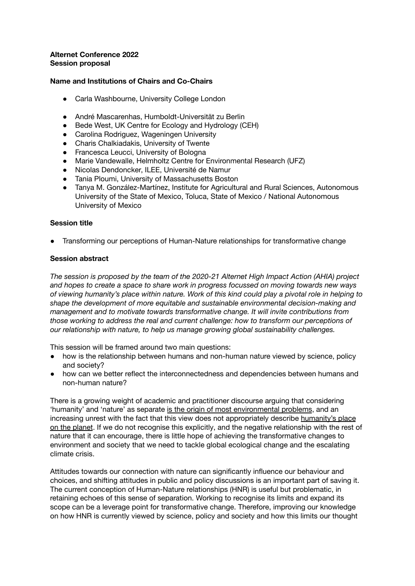#### **Alternet Conference 2022 Session proposal**

### **Name and Institutions of Chairs and Co-Chairs**

- Carla Washbourne, University College London
- André Mascarenhas, Humboldt-Universität zu Berlin
- Bede West, UK Centre for Ecology and Hydrology (CEH)
- Carolina Rodriguez, Wageningen University
- Charis Chalkiadakis, University of Twente
- Francesca Leucci, University of Bologna
- Marie Vandewalle, Helmholtz Centre for Environmental Research (UFZ)
- Nicolas Dendoncker, ILEE, Université de Namur
- Tania Ploumi, University of Massachusetts Boston
- Tanya M. González-Martínez, Institute for Agricultural and Rural Sciences, Autonomous University of the State of Mexico, Toluca, State of Mexico / National Autonomous University of Mexico

### **Session title**

Transforming our perceptions of Human-Nature relationships for transformative change

## **Session abstract**

*The session is proposed by the team of the 2020-21 Alternet High Impact Action (AHIA) project and hopes to create a space to share work in progress focussed on moving towards new ways of viewing humanity's place within nature. Work of this kind could play a pivotal role in helping to shape the development of more equitable and sustainable environmental decision-making and management and to motivate towards transformative change. It will invite contributions from those working to address the real and current challenge: how to transform our perceptions of our relationship with nature, to help us manage growing global sustainability challenges.*

This session will be framed around two main questions:

- how is the relationship between humans and non-human nature viewed by science, policy and society?
- how can we better reflect the interconnectedness and dependencies between humans and non-human nature?

There is a growing weight of academic and practitioner discourse arguing that considering 'humanity' and 'nature' as separate is the origin [of most environmental problems](https://www.jstor.org/stable/24707480), and an increasing unrest with the fact that this view does not appropriately describe [humanity's place](https://doi.org/10.5751/ES-09746-220427) [on the planet](https://doi.org/10.5751/ES-09746-220427). If we do not recognise this explicitly, and the negative relationship with the rest of nature that it can encourage, there is little hope of achieving the transformative changes to environment and society that we need to tackle global ecological change and the escalating climate crisis.

Attitudes towards our connection with nature can significantly influence our behaviour and choices, and shifting attitudes in public and policy discussions is an important part of saving it. The current conception of Human-Nature relationships (HNR) is useful but problematic, in retaining echoes of this sense of separation. Working to recognise its limits and expand its scope can be a leverage point for transformative change. Therefore, improving our knowledge on how HNR is currently viewed by science, policy and society and how this limits our thought